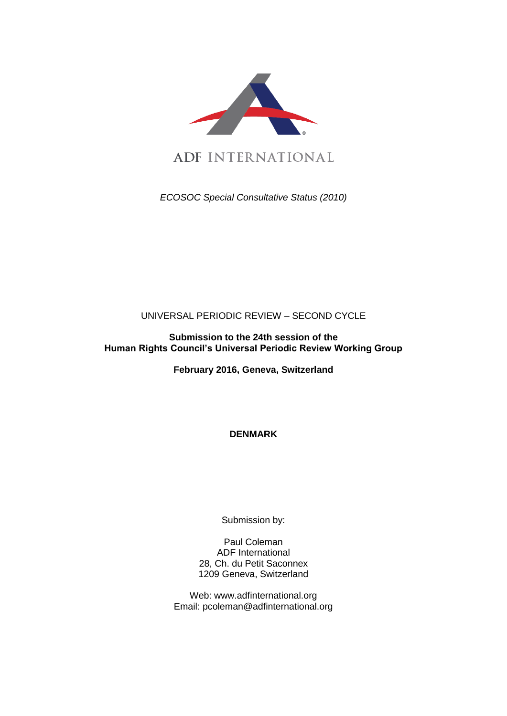

ADF INTERNATIONAL

*ECOSOC Special Consultative Status (2010)*

# UNIVERSAL PERIODIC REVIEW – SECOND CYCLE

## **Submission to the 24th session of the Human Rights Council's Universal Periodic Review Working Group**

**February 2016, Geneva, Switzerland**

**DENMARK**

Submission by:

Paul Coleman ADF International 28, Ch. du Petit Saconnex 1209 Geneva, Switzerland

Web: www.adfinternational.org Email: pcoleman@adfinternational.org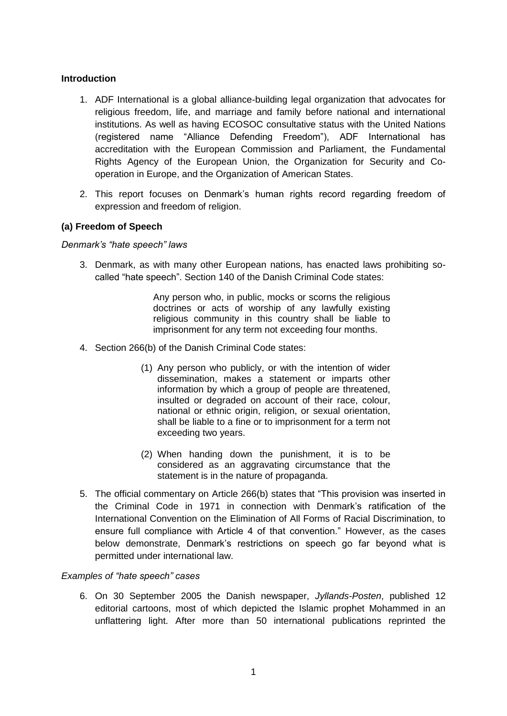#### **Introduction**

- 1. ADF International is a global alliance-building legal organization that advocates for religious freedom, life, and marriage and family before national and international institutions. As well as having ECOSOC consultative status with the United Nations (registered name "Alliance Defending Freedom"), ADF International has accreditation with the European Commission and Parliament, the Fundamental Rights Agency of the European Union, the Organization for Security and Cooperation in Europe, and the Organization of American States.
- 2. This report focuses on Denmark's human rights record regarding freedom of expression and freedom of religion.

### **(a) Freedom of Speech**

#### *Denmark's "hate speech" laws*

3. Denmark, as with many other European nations, has enacted laws prohibiting socalled "hate speech". Section 140 of the Danish Criminal Code states:

> Any person who, in public, mocks or scorns the religious doctrines or acts of worship of any lawfully existing religious community in this country shall be liable to imprisonment for any term not exceeding four months.

- 4. Section 266(b) of the Danish Criminal Code states:
	- (1) Any person who publicly, or with the intention of wider dissemination, makes a statement or imparts other information by which a group of people are threatened, insulted or degraded on account of their race, colour, national or ethnic origin, religion, or sexual orientation, shall be liable to a fine or to imprisonment for a term not exceeding two years.
	- (2) When handing down the punishment, it is to be considered as an aggravating circumstance that the statement is in the nature of propaganda.
- 5. The official commentary on Article 266(b) states that "This provision was inserted in the Criminal Code in 1971 in connection with Denmark's ratification of the International Convention on the Elimination of All Forms of Racial Discrimination, to ensure full compliance with Article 4 of that convention." However, as the cases below demonstrate, Denmark's restrictions on speech go far beyond what is permitted under international law.

#### *Examples of "hate speech" cases*

6. On 30 September 2005 the Danish newspaper, *Jyllands-Posten*, published 12 editorial cartoons, most of which depicted the Islamic prophet Mohammed in an unflattering light. After more than 50 international publications reprinted the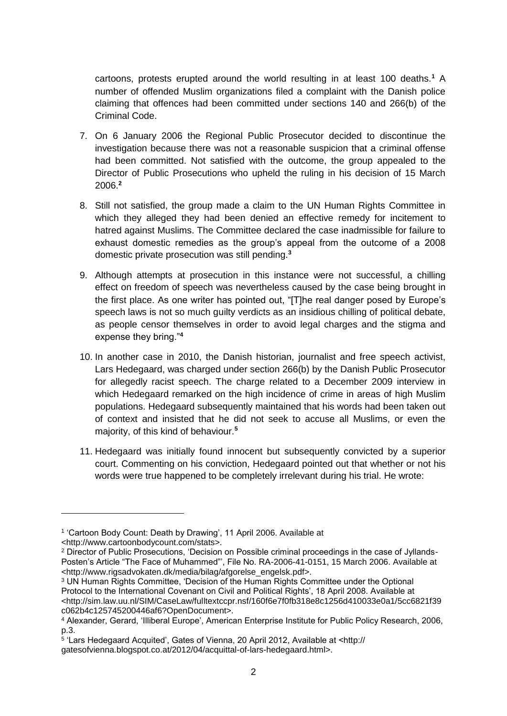cartoons, protests erupted around the world resulting in at least 100 deaths.**<sup>1</sup>** A number of offended Muslim organizations filed a complaint with the Danish police claiming that offences had been committed under sections 140 and 266(b) of the Criminal Code.

- 7. On 6 January 2006 the Regional Public Prosecutor decided to discontinue the investigation because there was not a reasonable suspicion that a criminal offense had been committed. Not satisfied with the outcome, the group appealed to the Director of Public Prosecutions who upheld the ruling in his decision of 15 March 2006.**<sup>2</sup>**
- 8. Still not satisfied, the group made a claim to the UN Human Rights Committee in which they alleged they had been denied an effective remedy for incitement to hatred against Muslims. The Committee declared the case inadmissible for failure to exhaust domestic remedies as the group's appeal from the outcome of a 2008 domestic private prosecution was still pending.**<sup>3</sup>**
- 9. Although attempts at prosecution in this instance were not successful, a chilling effect on freedom of speech was nevertheless caused by the case being brought in the first place. As one writer has pointed out, "[T]he real danger posed by Europe's speech laws is not so much quilty verdicts as an insidious chilling of political debate. as people censor themselves in order to avoid legal charges and the stigma and expense they bring."**<sup>4</sup>**
- 10. In another case in 2010, the Danish historian, journalist and free speech activist, Lars Hedegaard, was charged under section 266(b) by the Danish Public Prosecutor for allegedly racist speech. The charge related to a December 2009 interview in which Hedegaard remarked on the high incidence of crime in areas of high Muslim populations. Hedegaard subsequently maintained that his words had been taken out of context and insisted that he did not seek to accuse all Muslims, or even the majority, of this kind of behaviour.**<sup>5</sup>**
- 11. Hedegaard was initially found innocent but subsequently convicted by a superior court. Commenting on his conviction, Hedegaard pointed out that whether or not his words were true happened to be completely irrelevant during his trial. He wrote:

-

<sup>1</sup> 'Cartoon Body Count: Death by Drawing', 11 April 2006. Available at

<sup>&</sup>lt;http://www.cartoonbodycount.com/stats>.

<sup>2</sup> Director of Public Prosecutions, 'Decision on Possible criminal proceedings in the case of Jyllands-Posten's Article "The Face of Muhammed"', File No. RA-2006-41-0151, 15 March 2006. Available at <http://www.rigsadvokaten.dk/media/bilag/afgorelse\_engelsk.pdf>.

<sup>3</sup> UN Human Rights Committee, 'Decision of the Human Rights Committee under the Optional Protocol to the International Covenant on Civil and Political Rights', 18 April 2008. Available at <http://sim.law.uu.nl/SIM/CaseLaw/fulltextccpr.nsf/160f6e7f0fb318e8c1256d410033e0a1/5cc6821f39 c062b4c125745200446af6?OpenDocument>.

<sup>4</sup> Alexander, Gerard, 'Illiberal Europe', American Enterprise Institute for Public Policy Research, 2006, p.3.

<sup>5</sup> 'Lars Hedegaard Acquited', Gates of Vienna, 20 April 2012, Available at <http:// gatesofvienna.blogspot.co.at/2012/04/acquittal-of-lars-hedegaard.html>.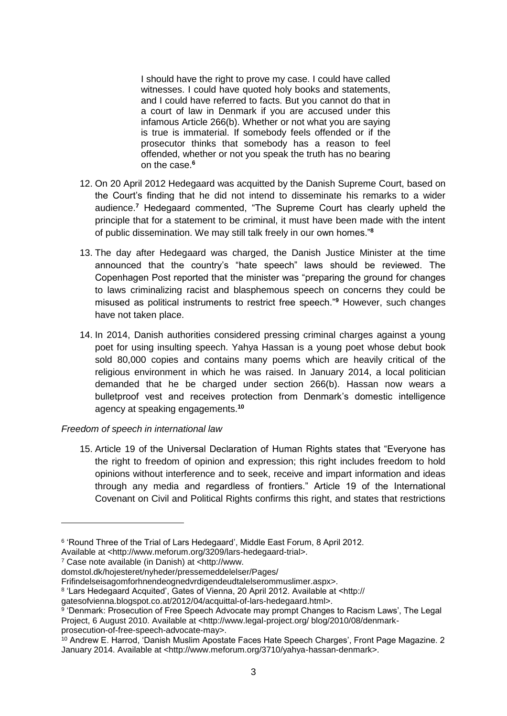I should have the right to prove my case. I could have called witnesses. I could have quoted holy books and statements, and I could have referred to facts. But you cannot do that in a court of law in Denmark if you are accused under this infamous Article 266(b). Whether or not what you are saying is true is immaterial. If somebody feels offended or if the prosecutor thinks that somebody has a reason to feel offended, whether or not you speak the truth has no bearing on the case.**<sup>6</sup>**

- 12. On 20 April 2012 Hedegaard was acquitted by the Danish Supreme Court, based on the Court's finding that he did not intend to disseminate his remarks to a wider audience.**<sup>7</sup>** Hedegaard commented, "The Supreme Court has clearly upheld the principle that for a statement to be criminal, it must have been made with the intent of public dissemination. We may still talk freely in our own homes."**<sup>8</sup>**
- 13. The day after Hedegaard was charged, the Danish Justice Minister at the time announced that the country's "hate speech" laws should be reviewed. The Copenhagen Post reported that the minister was "preparing the ground for changes to laws criminalizing racist and blasphemous speech on concerns they could be misused as political instruments to restrict free speech."**<sup>9</sup>** However, such changes have not taken place.
- 14. In 2014, Danish authorities considered pressing criminal charges against a young poet for using insulting speech. Yahya Hassan is a young poet whose debut book sold 80,000 copies and contains many poems which are heavily critical of the religious environment in which he was raised. In January 2014, a local politician demanded that he be charged under section 266(b). Hassan now wears a bulletproof vest and receives protection from Denmark's domestic intelligence agency at speaking engagements.**<sup>10</sup>**

#### *Freedom of speech in international law*

15. Article 19 of the Universal Declaration of Human Rights states that "Everyone has the right to freedom of opinion and expression; this right includes freedom to hold opinions without interference and to seek, receive and impart information and ideas through any media and regardless of frontiers." Article 19 of the International Covenant on Civil and Political Rights confirms this right, and states that restrictions

<sup>7</sup> Case note available (in Danish) at <http://www.

-

domstol.dk/hojesteret/nyheder/pressemeddelelser/Pages/

<sup>&</sup>lt;sup>6</sup> 'Round Three of the Trial of Lars Hedegaard', Middle East Forum, 8 April 2012.

Available at <http://www.meforum.org/3209/lars-hedegaard-trial>.

Frifindelseisagomforhnendeognedvrdigendeudtalelserommuslimer.aspx>.

<sup>8</sup> 'Lars Hedegaard Acquited', Gates of Vienna, 20 April 2012. Available at <http://

gatesofvienna.blogspot.co.at/2012/04/acquittal-of-lars-hedegaard.html>.

<sup>&</sup>lt;sup>9</sup> 'Denmark: Prosecution of Free Speech Advocate may prompt Changes to Racism Laws', The Legal Project, 6 August 2010. Available at <http://www.legal-project.org/ blog/2010/08/denmarkprosecution-of-free-speech-advocate-may>.

<sup>10</sup> Andrew E. Harrod, 'Danish Muslim Apostate Faces Hate Speech Charges', Front Page Magazine. 2 January 2014. Available at <http://www.meforum.org/3710/yahya-hassan-denmark>.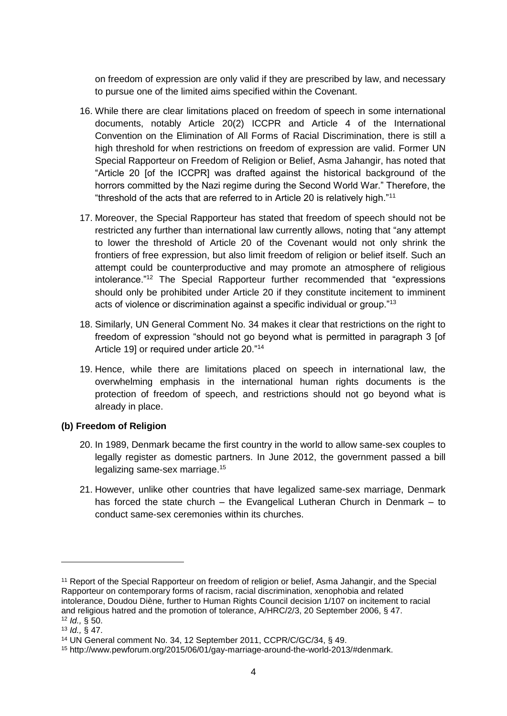on freedom of expression are only valid if they are prescribed by law, and necessary to pursue one of the limited aims specified within the Covenant.

- 16. While there are clear limitations placed on freedom of speech in some international documents, notably Article 20(2) ICCPR and Article 4 of the International Convention on the Elimination of All Forms of Racial Discrimination, there is still a high threshold for when restrictions on freedom of expression are valid. Former UN Special Rapporteur on Freedom of Religion or Belief, Asma Jahangir, has noted that "Article 20 [of the ICCPR] was drafted against the historical background of the horrors committed by the Nazi regime during the Second World War." Therefore, the "threshold of the acts that are referred to in Article 20 is relatively high."<sup>11</sup>
- 17. Moreover, the Special Rapporteur has stated that freedom of speech should not be restricted any further than international law currently allows, noting that "any attempt to lower the threshold of Article 20 of the Covenant would not only shrink the frontiers of free expression, but also limit freedom of religion or belief itself. Such an attempt could be counterproductive and may promote an atmosphere of religious intolerance."<sup>12</sup> The Special Rapporteur further recommended that "expressions should only be prohibited under Article 20 if they constitute incitement to imminent acts of violence or discrimination against a specific individual or group."<sup>13</sup>
- 18. Similarly, UN General Comment No. 34 makes it clear that restrictions on the right to freedom of expression "should not go beyond what is permitted in paragraph 3 [of Article 19] or required under article 20."<sup>14</sup>
- 19. Hence, while there are limitations placed on speech in international law, the overwhelming emphasis in the international human rights documents is the protection of freedom of speech, and restrictions should not go beyond what is already in place.

#### **(b) Freedom of Religion**

- 20. In 1989, Denmark became the first country in the world to allow same-sex couples to legally register as domestic partners. In June 2012, the government passed a bill legalizing same-sex marriage.<sup>15</sup>
- 21. However, unlike other countries that have legalized same-sex marriage, Denmark has forced the state church – the Evangelical Lutheran Church in Denmark – to conduct same-sex ceremonies within its churches.

-

<sup>11</sup> Report of the Special Rapporteur on freedom of religion or belief, Asma Jahangir, and the Special Rapporteur on contemporary forms of racism, racial discrimination, xenophobia and related intolerance, Doudou Diène, further to Human Rights Council decision 1/107 on incitement to racial and religious hatred and the promotion of tolerance, A/HRC/2/3, 20 September 2006, § 47. <sup>12</sup> *Id.,* § 50.

<sup>13</sup> *Id.,* § 47.

<sup>14</sup> UN General comment No. 34, 12 September 2011, CCPR/C/GC/34, § 49.

<sup>15</sup> http://www.pewforum.org/2015/06/01/gay-marriage-around-the-world-2013/#denmark.